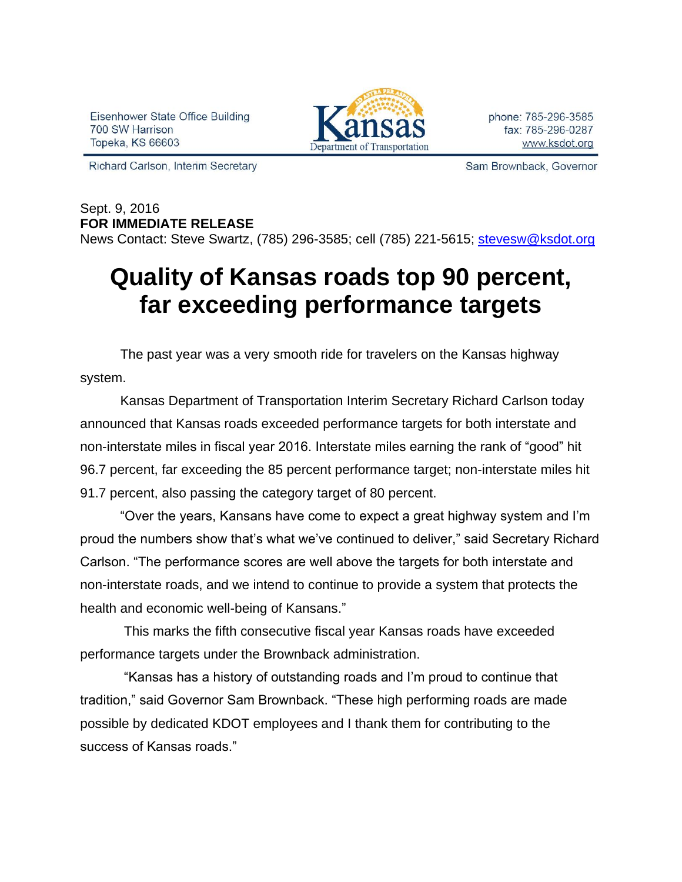Eisenhower State Office Building 700 SW Harrison Topeka, KS 66603



phone: 785-296-3585 fax: 785-296-0287 www.ksdot.org

Richard Carlson, Interim Secretary

Sam Brownback, Governor

## Sept. 9, 2016 **FOR IMMEDIATE RELEASE**

News Contact: Steve Swartz, (785) 296-3585; cell (785) 221-5615; [stevesw@ksdot.org](mailto:stevesw@ksdot.org)

## **Quality of Kansas roads top 90 percent, far exceeding performance targets**

The past year was a very smooth ride for travelers on the Kansas highway system.

Kansas Department of Transportation Interim Secretary Richard Carlson today announced that Kansas roads exceeded performance targets for both interstate and non-interstate miles in fiscal year 2016. Interstate miles earning the rank of "good" hit 96.7 percent, far exceeding the 85 percent performance target; non-interstate miles hit 91.7 percent, also passing the category target of 80 percent.

"Over the years, Kansans have come to expect a great highway system and I'm proud the numbers show that's what we've continued to deliver," said Secretary Richard Carlson. "The performance scores are well above the targets for both interstate and non-interstate roads, and we intend to continue to provide a system that protects the health and economic well-being of Kansans."

This marks the fifth consecutive fiscal year Kansas roads have exceeded performance targets under the Brownback administration.

"Kansas has a history of outstanding roads and I'm proud to continue that tradition," said Governor Sam Brownback. "These high performing roads are made possible by dedicated KDOT employees and I thank them for contributing to the success of Kansas roads."